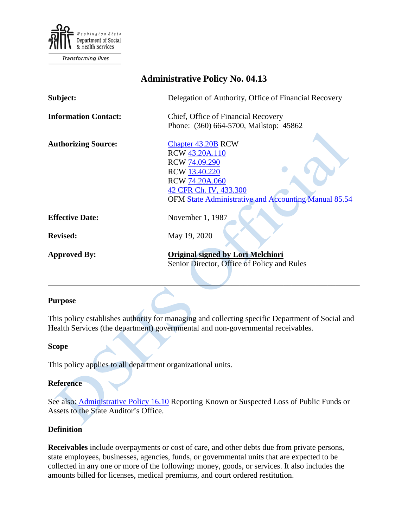

# **Administrative Policy No. 04.13**

| Subject:                    | Delegation of Authority, Office of Financial Recovery                                                                                                                                    |
|-----------------------------|------------------------------------------------------------------------------------------------------------------------------------------------------------------------------------------|
| <b>Information Contact:</b> | Chief, Office of Financial Recovery                                                                                                                                                      |
|                             | Phone: (360) 664-5700, Mailstop: 45862                                                                                                                                                   |
| <b>Authorizing Source:</b>  | <b>Chapter 43.20B RCW</b><br>RCW 43.20A.110<br>RCW 74.09.290<br>RCW 13.40.220<br><b>RCW 74.20A.060</b><br>42 CFR Ch. IV, 433.300<br>OFM State Administrative and Accounting Manual 85.54 |
| <b>Effective Date:</b>      | November 1, 1987                                                                                                                                                                         |
| <b>Revised:</b>             | May 19, 2020                                                                                                                                                                             |
| <b>Approved By:</b>         | <b>Original signed by Lori Melchiori</b><br>Senior Director, Office of Policy and Rules                                                                                                  |

#### **Purpose**

This policy establishes authority for managing and collecting specific Department of Social and Health Services (the department) governmental and non-governmental receivables.

\_\_\_\_\_\_\_\_\_\_\_\_\_\_\_\_\_\_\_\_\_\_\_\_\_\_\_\_\_\_\_\_\_\_\_\_\_\_\_\_\_\_\_\_\_\_\_\_\_\_\_\_\_\_\_\_\_\_\_\_\_\_\_\_\_\_\_\_\_\_\_\_\_\_\_\_\_\_

A

#### **Scope**

This policy applies to all department organizational units.

#### **Reference**

See also: [Administrative Policy 16.10](http://one.dshs.wa.lcl/Policies/Administrative/DSHS-AP-16-10.pdf) Reporting Known or Suspected Loss of Public Funds or Assets to the State Auditor's Office.

## **Definition**

**Receivables** include overpayments or cost of care, and other debts due from private persons, state employees, businesses, agencies, funds, or governmental units that are expected to be collected in any one or more of the following: money, goods, or services. It also includes the amounts billed for licenses, medical premiums, and court ordered restitution.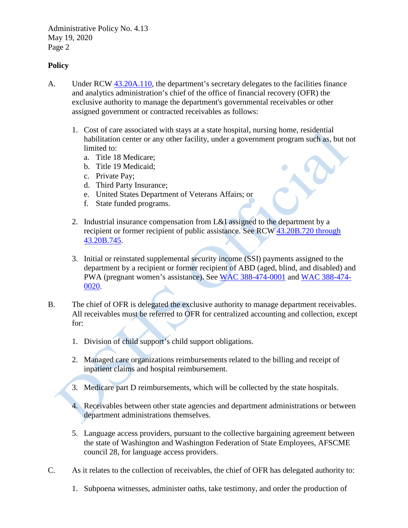### **Policy**

- A. Under RCW [43.20A.110,](http://apps.leg.wa.gov/RCW/default.aspx?cite=43.20A.110) the department's secretary delegates to the facilities finance and analytics administration's chief of the office of financial recovery (OFR) the exclusive authority to manage the department's governmental receivables or other assigned government or contracted receivables as follows:
	- 1. Cost of care associated with stays at a state hospital, nursing home, residential habilitation center or any other facility, under a government program such as, but not limited to:
		- a. Title 18 Medicare;
		- b. Title 19 Medicaid;
		- c. Private Pay;
		- d. Third Party Insurance;
		- e. United States Department of Veterans Affairs; or
		- f. State funded programs.
	- 2. Industrial insurance compensation from L&I assigned to the department by a recipient or former recipient of public assistance. See RCW [43.20B.720 through](http://apps.leg.wa.gov/RCW/default.aspx?cite=43.20B)  [43.20B.745.](http://apps.leg.wa.gov/RCW/default.aspx?cite=43.20B)
	- 3. Initial or reinstated supplemental security income (SSI) payments assigned to the department by a recipient or former recipient of ABD (aged, blind, and disabled) and PWA (pregnant women's assistance). See [WAC 388-474-0001](http://apps.leg.wa.gov/wac/default.aspx?cite=388-474-0001) and [WAC 388-474-](http://apps.leg.wa.gov/wac/default.aspx?cite=388-474-0020) [0020.](http://apps.leg.wa.gov/wac/default.aspx?cite=388-474-0020)
- B. The chief of OFR is delegated the exclusive authority to manage department receivables. All receivables must be referred to OFR for centralized accounting and collection, except for:
	- 1. Division of child support's child support obligations.
	- 2. Managed care organizations reimbursements related to the billing and receipt of inpatient claims and hospital reimbursement.
	- 3. Medicare part D reimbursements, which will be collected by the state hospitals.
	- 4. Receivables between other state agencies and department administrations or between department administrations themselves.
	- 5. Language access providers, pursuant to the collective bargaining agreement between the state of Washington and Washington Federation of State Employees, AFSCME council 28, for language access providers.
- C. As it relates to the collection of receivables, the chief of OFR has delegated authority to:
	- 1. Subpoena witnesses, administer oaths, take testimony, and order the production of